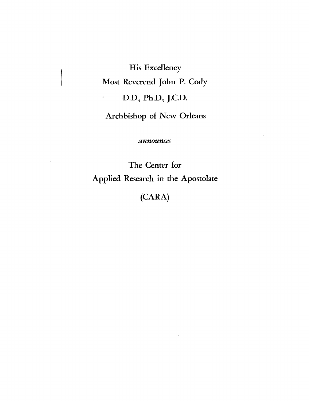**His Excellency Most Reverend John P. Cody D.D., Ph.D., J.C.D. Archbishop of New Orleans** 

 $\bar{z}$ 

announces

**The Center for Applied Research in the Apostolate** 

**(CARA)**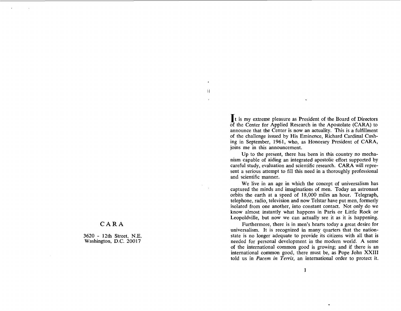**CARA** 

3620 - 12th Street, N.E. Washington, D.C. 20017

It is my extreme pleasure as President of the Board of Directors of the Center for Applied Research in the Apostolate (CARA) to announce that the Center is now an actuality. This is a fulfillment of the challenge issued by His Eminence, Richard Cardinal Cushing in September, 1961, who, as Honorary President of CARA, joins me in this announcement.

Ħ

Up to the present, there has been in this country no mechanism capable of aiding an integrated apostolic effort supported by careful study, evaluation and scientific research. CARA will represent a serious attempt to fill this need in a thoroughly professional and scientific manner.

We live in an age in which the concept of universalism has captured the minds and imaginations of men. Today an astronaut orbits the earth at a speed of 18,000 miles an hour. Telegraph, telephone, radio, television and now Telstar have put men, formerly isolated from one another, into constant contact. Not only do we know almost instantly what happens in Paris or Little Rock or Leopoldville, but now we can actually see it as it is happening.

Furthermore, there is in men's hearts today a great desire for universalism. It is recognized in many quarters that the nationstate is no longer adequate to provide its citizens with all that is needed for personal development in the modern world. A sense of the international common good is growing; and if there is an international common good, there must be, as Pope John XXIII told us in *Pacem* in *Terris,* an international order to protect it.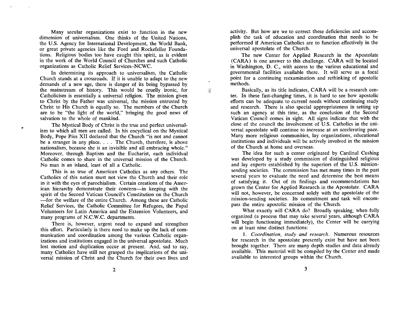Many secular organizations exist to function in the new dimension of universalism. One thinks of the United Nations, the U.S. Agency for International Development, the World Bank, or great private agencies like the Ford and Rockefeller Foundations. Religious bodies too have caught this spirit, as is evident in the work of the World Council of Churches and such Catholic organizations as Catholic Relief Services-NCWC.

In determining its approach to universalism, the Catholic Church stands at a crossroads. If it is unable to adapt to the new demands of a new age, there is danger of its being bypassed by the mainstream of history. This would be cruelly ironic, for Catholicism is essentially a universal religion. The mission given to Christ by the Father was universal, the mission entrusted by Christ to His Church is equally so. The members of the Church are to be "the light of the world," bringing the good news of salvation to the whole of mankind.

 $\mathbf{1}$ 

. The Mystical Body of Christ is the true and perfect universalism to which all men are called. In his encyclical on the Mystical Body, Pope Pius XI1 declared that the Church "is not and cannot be a stranger in any place. . . . The Church, therefore, is above nationalism, because she is an invisible and all embracing whole." Moreover, through Baptism and the Eucharist, each individual Catholic comes to share in the universal mission of the Church. No man is an island, least of all a Catholic.

This is as true of American Catholics as any others. The Catholics of this nation must not view the Church and their role in it with the eyes of parochialism. Certain creations of the American hierarchy demonstrate their concern-in keeping with the spirit of the Second Vatican Council's Constitution on the Church -for the welfare of the entire Church. Among these are Catholic Relief Services, the Catholic Committee for Refugees, the Papal Volunteers for Latin America and the Extension Volunteers, and many programs of N.C.W.C. departments.

There is, however, urgent need to expand and strengthen this effort. Particularly is there need to make up the lack of communication and coordination among the various Catholic organizations and institutions engaged in the universal apostolate. Much lost motion and duplication occur at present. And, sad to say, many Catholics have still not grasped the implications of the universal mission of Christ and the Church for their own lives and activity. But how are we to correct these deficiencies and accomplish the task of education and coordination that needs to be performed if American Catholics are to function effectively in the universal apostolate of the Church.

The new Center for Applied Research in the Apostolate (CARA) is one answer to this challenge. CARA will be located in Washington, D. C., with access to the various educational and governmental facilities available there. It will serve as a focal point for a continuing reexamination and rethinking of apostolic methods.

Basically, as its title indicates, CARA will be a research center. In these fast-changing times, it is hard to see how apostolic efforts can be adequate to current needs without continuing study and research. There is also special appropriateness in setting up such an agency at this time, as the conclusion of the Second Vatican Council comes in sight. - All signs indicate that with the close of the council the involvement of U.S. Catholics in the universal apostolate will continue to increase at an accelerating pace. Many more religious communities, lay organizations, educational institutions and individuals will be actively involved in the mission of the Church at home and overseas.

The idea for such a center originated by Cardinal Cushing was developed by a study commission of distinguished religious and lay experts established by the superiors of the U.S. missionsending societies. The commission has met many times in the past several years to evaluate the need and determine the best means of satisfying it. Out of its findings and recommendations has grown the Center for Applied Research in the Apostolate. CARA will not, however, be concerned solely with the apostolate of the mission-sending societies. Its commitment and task will encompass the entire apostolic mission of the Church.

What exactly will CARA do? Broadly speaking, when fully organized (a process that may take several years, although CARA will begin functioning immediately), the Center will be carrying on at least nine distinct functions:

*1. Coordination, study and research.* Numerous resources for research in the apostolate presently exist but have not been brought together. There are many depth studies and data already available. This material will be compiled by the Center and made available to interested groups within the Church.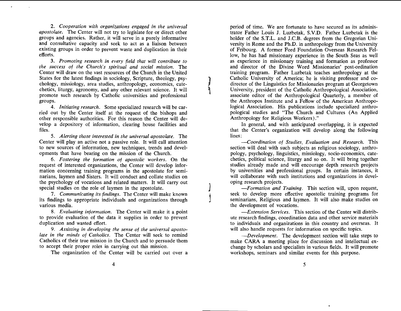*2. Cooperation with organizations engaged in the universal apostolate.* The Center will not try to legislate for or direct other groups and agencies. Rather, it will serve in a purely informative and consultative capacity and seek to act as a liaison between existing groups in order to prevent waste and duplication in their efforts.

**3.** *Promoting research in every field that will contribute to the success of the Church's spiritual and social mission.* The Center will draw on the vast resources of the Church in the United States for the latest findings in sociology, Scripture, theology, psychology, missiology, area studies, anthropology, economics, catechetics, liturgy, agronomy, and any other relevant science. It will promote such research by Catholic universities and professional groups.

*4. Initiating research.* Some specialized research will be carried out by the Center itself at the request of the bishops and other responsible authorities. For this reason the Center will develop a depository of information, clearing house facilities and files.

*5. Alerting those interested in the universal apostolate.* The Center will play an active not a passive role. It will call attention to new sources of information, new techniques, trends and developments that have bearing on the mission of the Church.

**6.** *Fostering the formation of apostolic workers.* On the request of interested organizations, the Center will develop information concerning training programs in the apostolate for seminarians, laymen and Sisters. It will conduct and collate studies on the psychology of vocations and related matters. It will carry out special studies on the role of laymen in the apostolate.

*7. Communicating its findings.* The Center will make known its findings to appropriate individuals and organizations through various media.

8. *Evaluating information.* The Center will make it a point to provide evaluation of the data it supplies in order to prevent duplication and wasted effort.

*9. Assisting in developing the sense of the universal apostolate in the minds of Catholics.* The Center will seek to remind Catholics of their true mission in the Church and to persuade them to accept their proper roles in carrying out this mission.

The organization of the Center will be carried out over a

period of time. We are fortunate to have secured as its administrator Father Louis J. Luzbetak, S.V.D. Father Luzbetak is the holder of the S.T.L. and J.C.B. degrees from the Gregorian University in Rome and the Ph.D. in anthropology from the University of Fribourg. A former Ford Foundation Overseas Research Fellow, he has had missionary experience in the South Seas as well as experience in missionary training and formation as professor and director of the Divine Word Missionaries' post-ordination training program. Father Luzbetak teaches anthropology at the Catholic University of America; he is visiting professor and codirector of the Linguistics for Missionaries program at Georgetown University, president of the Catholic Anthropological Association, associate editor of the Anthropological Quarterly, a member of the Anthropos Institute and a FeHow of the American Anthropological Association. His publications include specialized anthropological studies and "The Church and Cultures (An Applied Anthropology for Religious Workers) ."

In general, and with anticipated overlapping, it is expected that the Center's organization will develop along the following lines:

*-Coordination of Studies, Evaluation and Research.* This section will deal with such subjects as religious sociology, anthropology, psychology, linguistics, missiology, socio-economics, catechetics, political science, liturgy and so on. It will bring together studies already made and will encourage depth research projects by universities and professional groups. In certain instances, it will collaborate with such institutions and organizations in developing research projects.

*-Formation and Training.* This section will, upon request, seek to develop more effective apostolic training programs for seminarians, Religious and laymen. It will also make studies on the development of vocations.

*-Extension Services.* This section of the Center will distribute research findings, coordination data and other service materials to individuals and organizations in this country and overseas. It will also handle requests for information on specific topics.

*-Development.* The development section will take steps to make CARA a meeting place for discussion and intellectual exchange by scholars and specialists in various fields. It will promote workshops, seminars and similar events for this purpose.